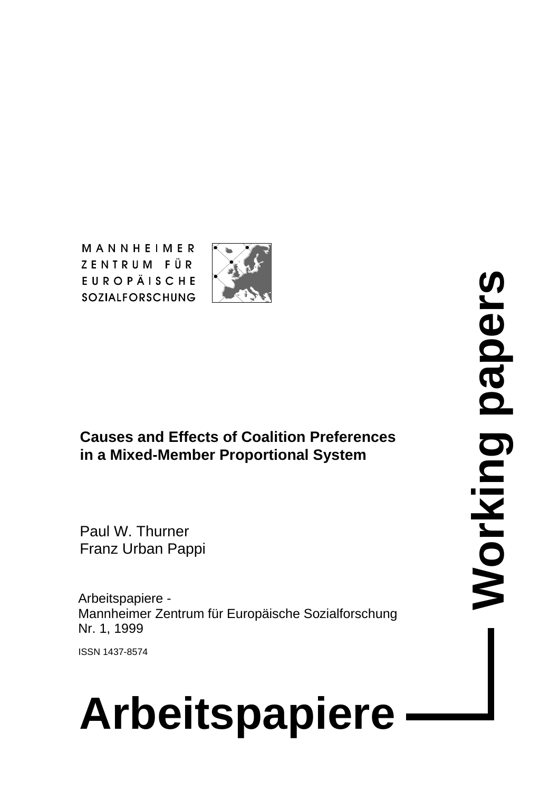MANNHEIMER ZENTRUM FÜR **EUROPÄISCHE SOZIALFORSCHUNG** 



**Causes and Effects of Coalition Preferences in a Mixed-Member Proportional System**

Paul W. Thurner Franz Urban Pappi

Arbeitspapiere - Mannheimer Zentrum für Europäische Sozialforschung Nr. 1, 1999

ISSN 1437-8574

# **Arbeitspapiere**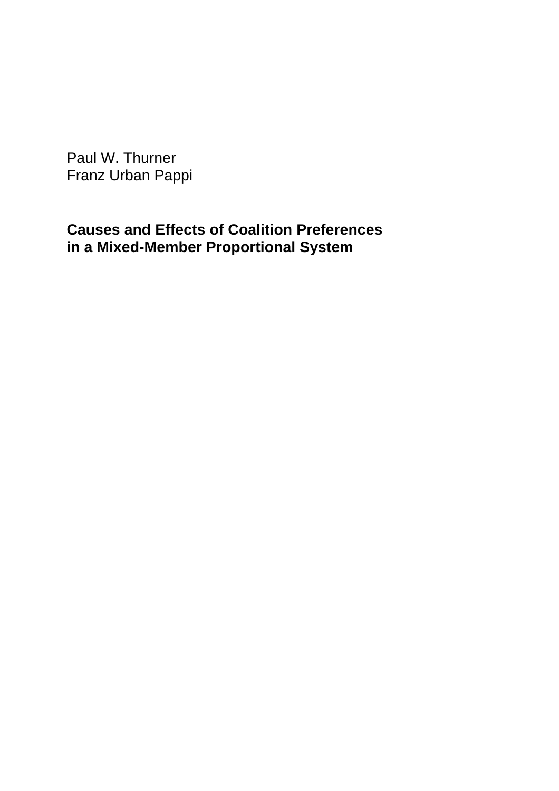Paul W. Thurner Franz Urban Pappi

# **Causes and Effects of Coalition Preferences in a Mixed-Member Proportional System**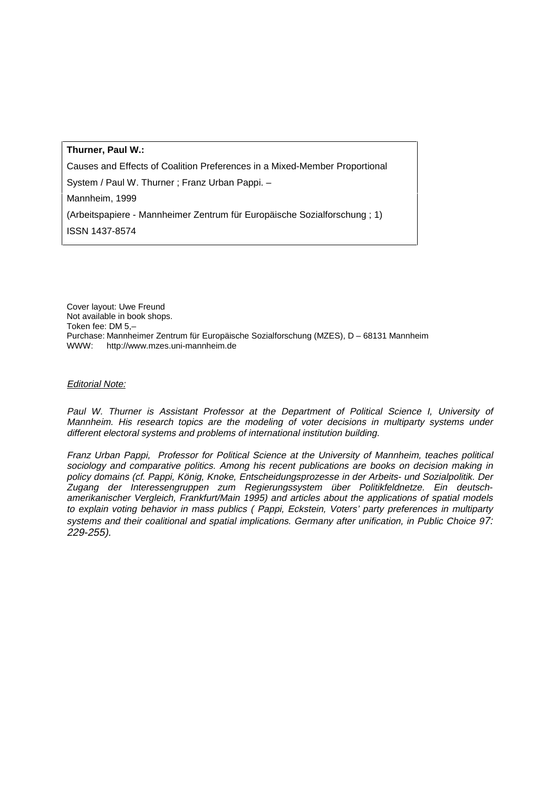#### **Thurner, Paul W.:**

Causes and Effects of Coalition Preferences in a Mixed-Member Proportional

System / Paul W. Thurner ; Franz Urban Pappi. –

Mannheim, 1999

(Arbeitspapiere - Mannheimer Zentrum für Europäische Sozialforschung ; 1)

ISSN 1437-8574

Cover layout: Uwe Freund Not available in book shops. Token fee: DM 5,– Purchase: Mannheimer Zentrum für Europäische Sozialforschung (MZES), D – 68131 Mannheim WWW: http://www.mzes.uni-mannheim.de

#### Editorial Note:

Paul W. Thurner is Assistant Professor at the Department of Political Science I, University of Mannheim. His research topics are the modeling of voter decisions in multiparty systems under different electoral systems and problems of international institution building.

Franz Urban Pappi, Professor for Political Science at the University of Mannheim, teaches political sociology and comparative politics. Among his recent publications are books on decision making in policy domains (cf. Pappi, König, Knoke, Entscheidungsprozesse in der Arbeits- und Sozialpolitik. Der Zugang der Interessengruppen zum Regierungssystem über Politikfeldnetze. Ein deutschamerikanischer Vergleich, Frankfurt/Main 1995) and articles about the applications of spatial models to explain voting behavior in mass publics ( Pappi, Eckstein, Voters' party preferences in multiparty systems and their coalitional and spatial implications. Germany after unification, in Public Choice 97: 229-255).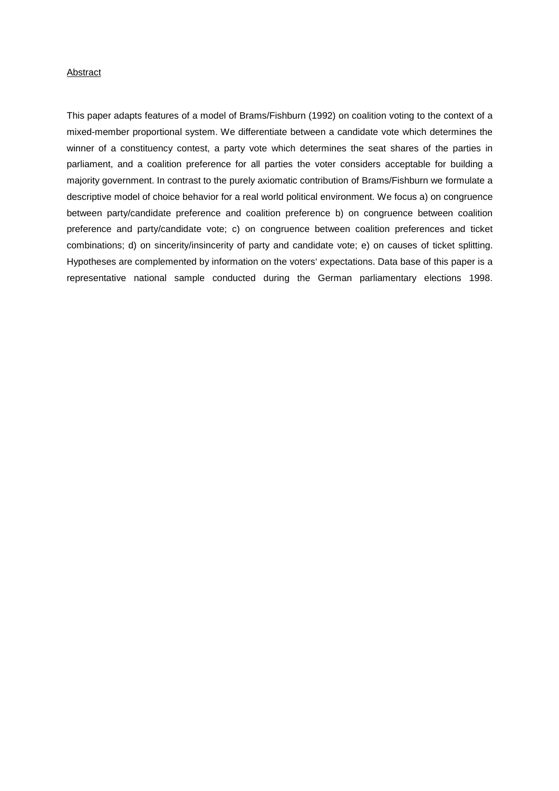#### Abstract

This paper adapts features of a model of Brams/Fishburn (1992) on coalition voting to the context of a mixed-member proportional system. We differentiate between a candidate vote which determines the winner of a constituency contest, a party vote which determines the seat shares of the parties in parliament, and a coalition preference for all parties the voter considers acceptable for building a majority government. In contrast to the purely axiomatic contribution of Brams/Fishburn we formulate a descriptive model of choice behavior for a real world political environment. We focus a) on congruence between party/candidate preference and coalition preference b) on congruence between coalition preference and party/candidate vote; c) on congruence between coalition preferences and ticket combinations; d) on sincerity/insincerity of party and candidate vote; e) on causes of ticket splitting. Hypotheses are complemented by information on the voters' expectations. Data base of this paper is a representative national sample conducted during the German parliamentary elections 1998.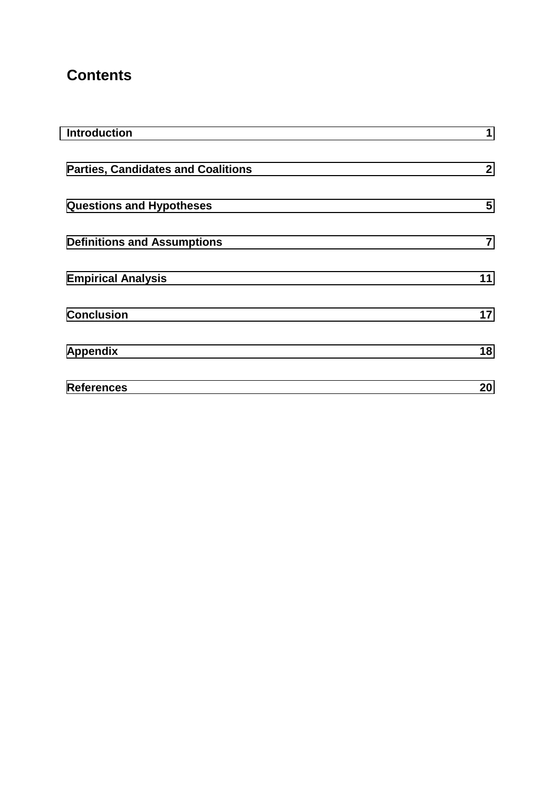# **Contents**

| <b>Introduction</b>                       | 1              |
|-------------------------------------------|----------------|
| <b>Parties, Candidates and Coalitions</b> | 2 <sup>1</sup> |
| <b>Questions and Hypotheses</b>           | 5              |
| <b>Definitions and Assumptions</b>        | $\overline{7}$ |
| <b>Empirical Analysis</b>                 | 11             |
| <b>Conclusion</b>                         | 17             |
| <b>Appendix</b>                           | 18             |
| <b>References</b>                         | 20             |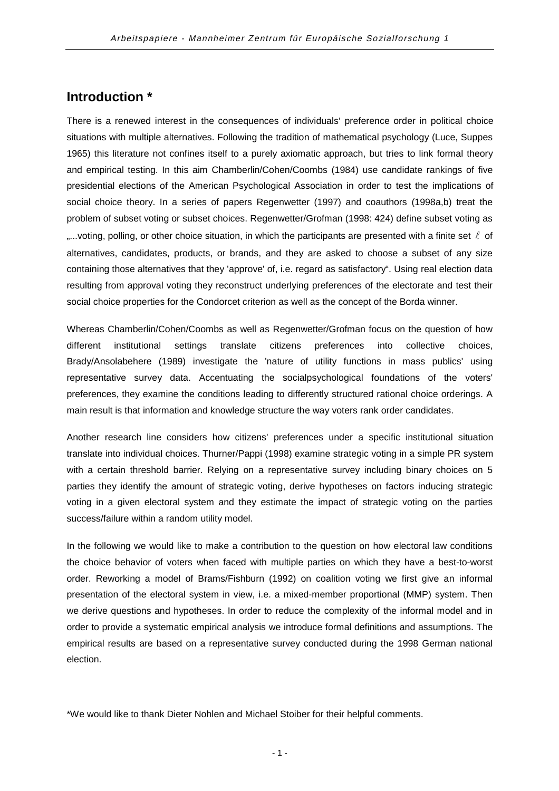## <span id="page-5-0"></span>**Introduction \***

There is a renewed interest in the consequences of individuals' preference order in political choice situations with multiple alternatives. Following the tradition of mathematical psychology (Luce, Suppes 1965) this literature not confines itself to a purely axiomatic approach, but tries to link formal theory and empirical testing. In this aim Chamberlin/Cohen/Coombs (1984) use candidate rankings of five presidential elections of the American Psychological Association in order to test the implications of social choice theory. In a series of papers Regenwetter (1997) and coauthors (1998a,b) treat the problem of subset voting or subset choices. Regenwetter/Grofman (1998: 424) define subset voting as "...voting, polling, or other choice situation, in which the participants are presented with a finite set  $\ell$  of alternatives, candidates, products, or brands, and they are asked to choose a subset of any size containing those alternatives that they 'approve' of, i.e. regard as satisfactory". Using real election data resulting from approval voting they reconstruct underlying preferences of the electorate and test their social choice properties for the Condorcet criterion as well as the concept of the Borda winner.

Whereas Chamberlin/Cohen/Coombs as well as Regenwetter/Grofman focus on the question of how different institutional settings translate citizens preferences into collective choices, Brady/Ansolabehere (1989) investigate the 'nature of utility functions in mass publics' using representative survey data. Accentuating the socialpsychological foundations of the voters' preferences, they examine the conditions leading to differently structured rational choice orderings. A main result is that information and knowledge structure the way voters rank order candidates.

Another research line considers how citizens' preferences under a specific institutional situation translate into individual choices. Thurner/Pappi (1998) examine strategic voting in a simple PR system with a certain threshold barrier. Relying on a representative survey including binary choices on 5 parties they identify the amount of strategic voting, derive hypotheses on factors inducing strategic voting in a given electoral system and they estimate the impact of strategic voting on the parties success/failure within a random utility model.

In the following we would like to make a contribution to the question on how electoral law conditions the choice behavior of voters when faced with multiple parties on which they have a best-to-worst order. Reworking a model of Brams/Fishburn (1992) on coalition voting we first give an informal presentation of the electoral system in view, i.e. a mixed-member proportional (MMP) system. Then we derive questions and hypotheses. In order to reduce the complexity of the informal model and in order to provide a systematic empirical analysis we introduce formal definitions and assumptions. The empirical results are based on a representative survey conducted during the 1998 German national election.

\*We would like to thank Dieter Nohlen and Michael Stoiber for their helpful comments.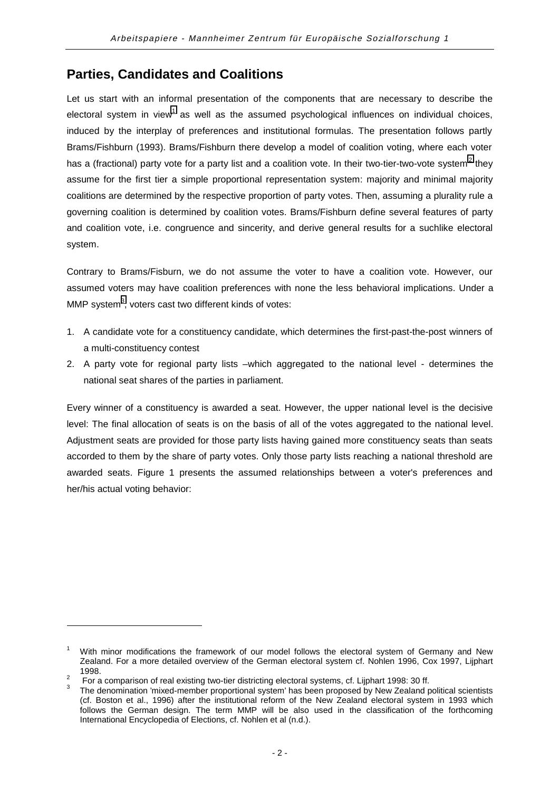## <span id="page-6-0"></span>**Parties, Candidates and Coalitions**

Let us start with an informal presentation of the components that are necessary to describe the electoral system in view<sup>1</sup> as well as the assumed psychological influences on individual choices, induced by the interplay of preferences and institutional formulas. The presentation follows partly Brams/Fishburn (1993). Brams/Fishburn there develop a model of coalition voting, where each voter has a (fractional) party vote for a party list and a coalition vote. In their two-tier-two-vote system<sup>2</sup> they assume for the first tier a simple proportional representation system: majority and minimal majority coalitions are determined by the respective proportion of party votes. Then, assuming a plurality rule a governing coalition is determined by coalition votes. Brams/Fishburn define several features of party and coalition vote, i.e. congruence and sincerity, and derive general results for a suchlike electoral system.

Contrary to Brams/Fisburn, we do not assume the voter to have a coalition vote. However, our assumed voters may have coalition preferences with none the less behavioral implications. Under a MMP system $^3$ , voters cast two different kinds of votes:

- 1. A candidate vote for a constituency candidate, which determines the first-past-the-post winners of a multi-constituency contest
- 2. A party vote for regional party lists –which aggregated to the national level determines the national seat shares of the parties in parliament.

Every winner of a constituency is awarded a seat. However, the upper national level is the decisive level: The final allocation of seats is on the basis of all of the votes aggregated to the national level. Adjustment seats are provided for those party lists having gained more constituency seats than seats accorded to them by the share of party votes. Only those party lists reaching a national threshold are awarded seats. Figure 1 presents the assumed relationships between a voter's preferences and her/his actual voting behavior:

l

<sup>1</sup> With minor modifications the framework of our model follows the electoral system of Germany and New Zealand. For a more detailed overview of the German electoral system cf. Nohlen 1996, Cox 1997, Lijphart 1998.<br><sup>2</sup> For a comparison of real existing two-tier districting electoral systems, cf. Lijphart 1998: 30 ff.<br><sup>3</sup> The denomination 'mixed-member proportional system' has been proposed by New Zealand political scientists

<sup>(</sup>cf. Boston et al., 1996) after the institutional reform of the New Zealand electoral system in 1993 which follows the German design. The term MMP will be also used in the classification of the forthcoming International Encyclopedia of Elections, cf. Nohlen et al (n.d.).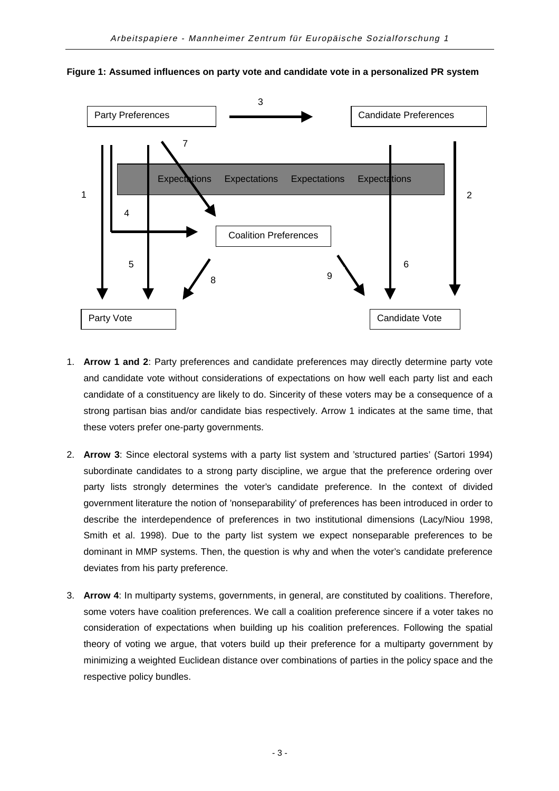

**Figure 1: Assumed influences on party vote and candidate vote in a personalized PR system**

- 1. **Arrow 1 and 2**: Party preferences and candidate preferences may directly determine party vote and candidate vote without considerations of expectations on how well each party list and each candidate of a constituency are likely to do. Sincerity of these voters may be a consequence of a strong partisan bias and/or candidate bias respectively. Arrow 1 indicates at the same time, that these voters prefer one-party governments.
- 2. **Arrow 3**: Since electoral systems with a party list system and 'structured parties' (Sartori 1994) subordinate candidates to a strong party discipline, we argue that the preference ordering over party lists strongly determines the voter's candidate preference. In the context of divided government literature the notion of 'nonseparability' of preferences has been introduced in order to describe the interdependence of preferences in two institutional dimensions (Lacy/Niou 1998, Smith et al. 1998). Due to the party list system we expect nonseparable preferences to be dominant in MMP systems. Then, the question is why and when the voter's candidate preference deviates from his party preference.
- 3. **Arrow 4**: In multiparty systems, governments, in general, are constituted by coalitions. Therefore, some voters have coalition preferences. We call a coalition preference sincere if a voter takes no consideration of expectations when building up his coalition preferences. Following the spatial theory of voting we argue, that voters build up their preference for a multiparty government by minimizing a weighted Euclidean distance over combinations of parties in the policy space and the respective policy bundles.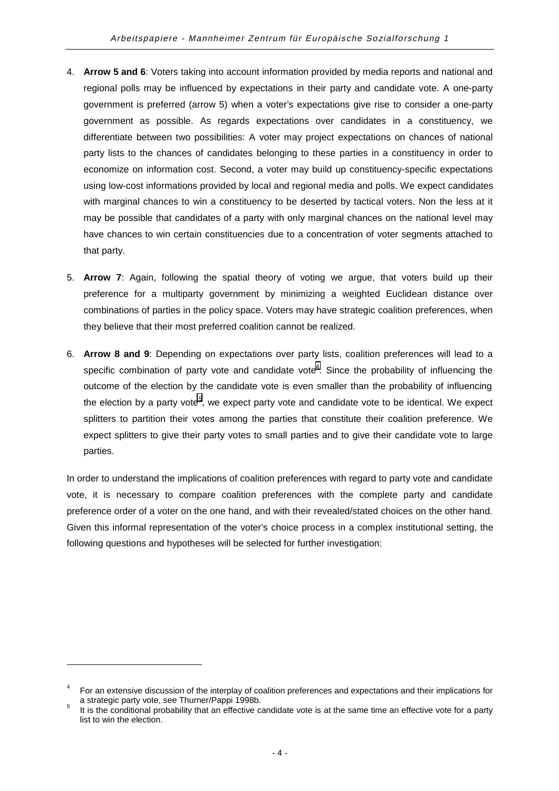- 4. **Arrow 5 and 6**: Voters taking into account information provided by media reports and national and regional polls may be influenced by expectations in their party and candidate vote. A one-party government is preferred (arrow 5) when a voter's expectations give rise to consider a one-party government as possible. As regards expectations over candidates in a constituency, we differentiate between two possibilities: A voter may project expectations on chances of national party lists to the chances of candidates belonging to these parties in a constituency in order to economize on information cost. Second, a voter may build up constituency-specific expectations using low-cost informations provided by local and regional media and polls. We expect candidates with marginal chances to win a constituency to be deserted by tactical voters. Non the less at it may be possible that candidates of a party with only marginal chances on the national level may have chances to win certain constituencies due to a concentration of voter segments attached to that party.
- 5. **Arrow 7**: Again, following the spatial theory of voting we argue, that voters build up their preference for a multiparty government by minimizing a weighted Euclidean distance over combinations of parties in the policy space. Voters may have strategic coalition preferences, when they believe that their most preferred coalition cannot be realized.
- 6. **Arrow 8 and 9**: Depending on expectations over party lists, coalition preferences will lead to a specific combination of party vote and candidate vote<sup>4</sup>. Since the probability of influencing the outcome of the election by the candidate vote is even smaller than the probability of influencing the election by a party vote<sup>5</sup>, we expect party vote and candidate vote to be identical. We expect splitters to partition their votes among the parties that constitute their coalition preference. We expect splitters to give their party votes to small parties and to give their candidate vote to large parties.

In order to understand the implications of coalition preferences with regard to party vote and candidate vote, it is necessary to compare coalition preferences with the complete party and candidate preference order of a voter on the one hand, and with their revealed/stated choices on the other hand. Given this informal representation of the voter's choice process in a complex institutional setting, the following questions and hypotheses will be selected for further investigation:

<sup>4</sup> For an extensive discussion of the interplay of coalition preferences and expectations and their implications for a strategic party vote, see Thurner/Pappi 1998b.<br>It is the conditional probability that an effective candidate vote is at the same time an effective vote for a party

list to win the election.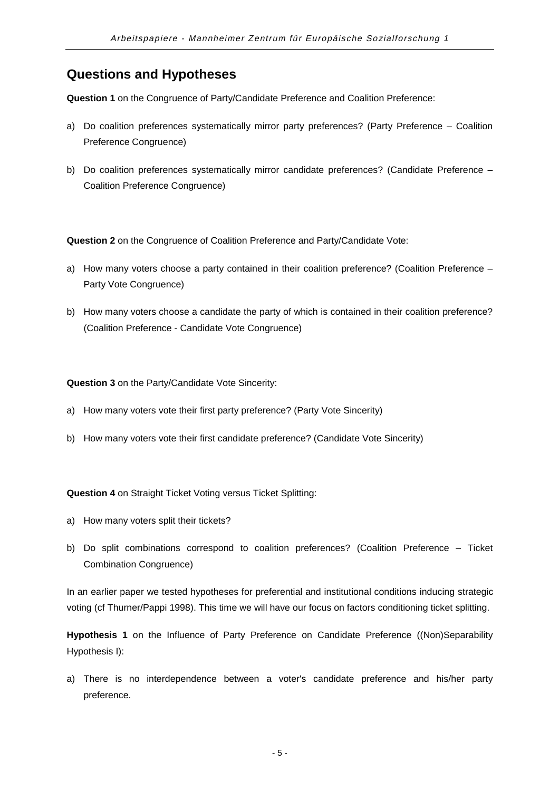## <span id="page-9-0"></span>**Questions and Hypotheses**

**Question 1** on the Congruence of Party/Candidate Preference and Coalition Preference:

- a) Do coalition preferences systematically mirror party preferences? (Party Preference Coalition Preference Congruence)
- b) Do coalition preferences systematically mirror candidate preferences? (Candidate Preference Coalition Preference Congruence)

**Question 2** on the Congruence of Coalition Preference and Party/Candidate Vote:

- a) How many voters choose a party contained in their coalition preference? (Coalition Preference Party Vote Congruence)
- b) How many voters choose a candidate the party of which is contained in their coalition preference? (Coalition Preference - Candidate Vote Congruence)

**Question 3** on the Party/Candidate Vote Sincerity:

- a) How many voters vote their first party preference? (Party Vote Sincerity)
- b) How many voters vote their first candidate preference? (Candidate Vote Sincerity)

**Question 4** on Straight Ticket Voting versus Ticket Splitting:

- a) How many voters split their tickets?
- b) Do split combinations correspond to coalition preferences? (Coalition Preference Ticket Combination Congruence)

In an earlier paper we tested hypotheses for preferential and institutional conditions inducing strategic voting (cf Thurner/Pappi 1998). This time we will have our focus on factors conditioning ticket splitting.

**Hypothesis 1** on the Influence of Party Preference on Candidate Preference ((Non)Separability Hypothesis I):

a) There is no interdependence between a voter's candidate preference and his/her party preference.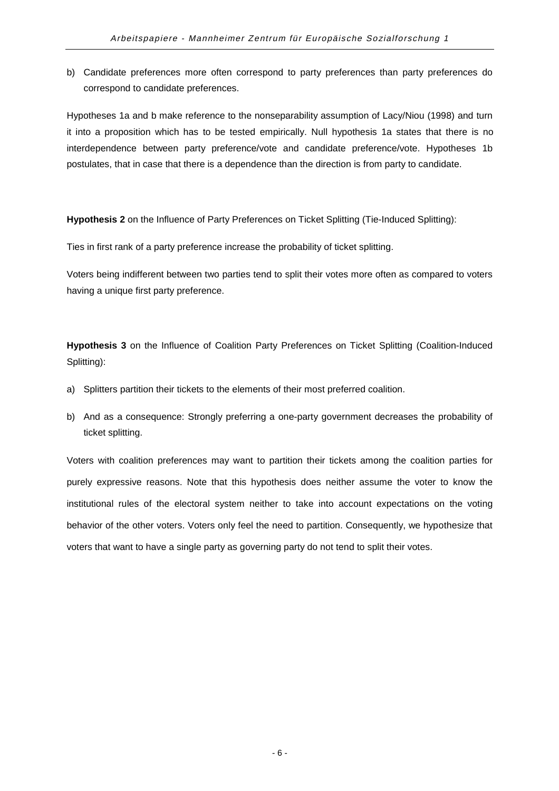b) Candidate preferences more often correspond to party preferences than party preferences do correspond to candidate preferences.

Hypotheses 1a and b make reference to the nonseparability assumption of Lacy/Niou (1998) and turn it into a proposition which has to be tested empirically. Null hypothesis 1a states that there is no interdependence between party preference/vote and candidate preference/vote. Hypotheses 1b postulates, that in case that there is a dependence than the direction is from party to candidate.

**Hypothesis 2** on the Influence of Party Preferences on Ticket Splitting (Tie-Induced Splitting):

Ties in first rank of a party preference increase the probability of ticket splitting.

Voters being indifferent between two parties tend to split their votes more often as compared to voters having a unique first party preference.

**Hypothesis 3** on the Influence of Coalition Party Preferences on Ticket Splitting (Coalition-Induced Splitting):

- a) Splitters partition their tickets to the elements of their most preferred coalition.
- b) And as a consequence: Strongly preferring a one-party government decreases the probability of ticket splitting.

Voters with coalition preferences may want to partition their tickets among the coalition parties for purely expressive reasons. Note that this hypothesis does neither assume the voter to know the institutional rules of the electoral system neither to take into account expectations on the voting behavior of the other voters. Voters only feel the need to partition. Consequently, we hypothesize that voters that want to have a single party as governing party do not tend to split their votes.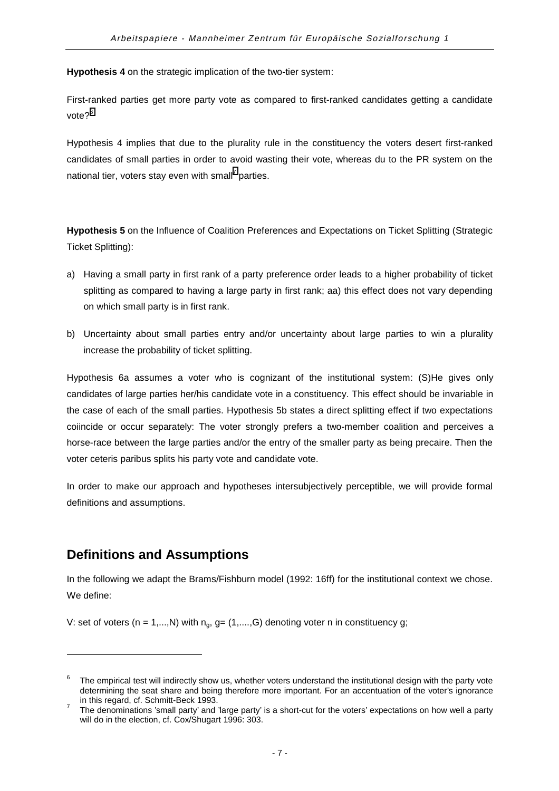<span id="page-11-0"></span>**Hypothesis 4** on the strategic implication of the two-tier system:

First-ranked parties get more party vote as compared to first-ranked candidates getting a candidate vote?<sup>6</sup>

Hypothesis 4 implies that due to the plurality rule in the constituency the voters desert first-ranked candidates of small parties in order to avoid wasting their vote, whereas du to the PR system on the national tier, voters stay even with small<sup>7</sup> parties.

**Hypothesis 5** on the Influence of Coalition Preferences and Expectations on Ticket Splitting (Strategic Ticket Splitting):

- a) Having a small party in first rank of a party preference order leads to a higher probability of ticket splitting as compared to having a large party in first rank; aa) this effect does not vary depending on which small party is in first rank.
- b) Uncertainty about small parties entry and/or uncertainty about large parties to win a plurality increase the probability of ticket splitting.

Hypothesis 6a assumes a voter who is cognizant of the institutional system: (S)He gives only candidates of large parties her/his candidate vote in a constituency. This effect should be invariable in the case of each of the small parties. Hypothesis 5b states a direct splitting effect if two expectations coiincide or occur separately: The voter strongly prefers a two-member coalition and perceives a horse-race between the large parties and/or the entry of the smaller party as being precaire. Then the voter ceteris paribus splits his party vote and candidate vote.

In order to make our approach and hypotheses intersubjectively perceptible, we will provide formal definitions and assumptions.

## **Definitions and Assumptions**

l

In the following we adapt the Brams/Fishburn model (1992: 16ff) for the institutional context we chose. We define:

V: set of voters (n = 1,...,N) with  $n_q$ , g= (1,....,G) denoting voter n in constituency g;

<sup>6</sup> The empirical test will indirectly show us, whether voters understand the institutional design with the party vote determining the seat share and being therefore more important. For an accentuation of the voter's ignorance in this regard, cf. Schmitt-Beck 1993.<br>The denominations 'small party' and 'large party' is a short-cut for the voters' expectations on how well a party

will do in the election, cf. Cox/Shugart 1996: 303.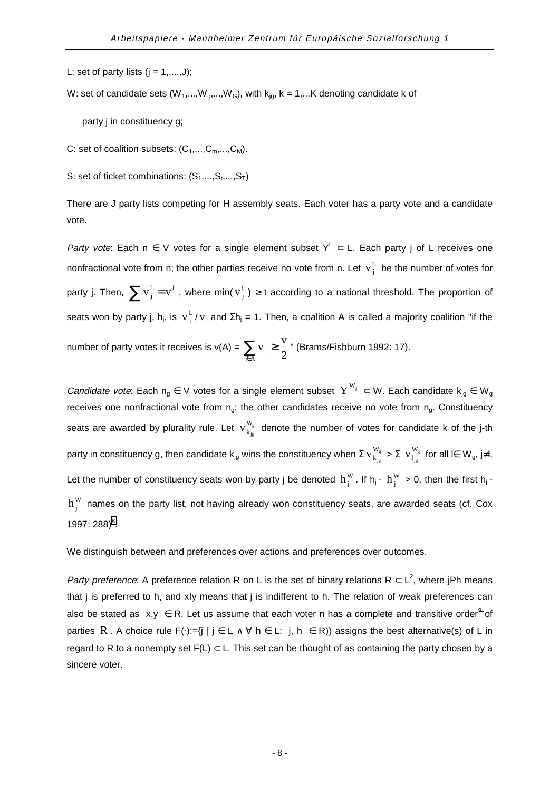L: set of party lists  $(j = 1, \ldots, J);$ 

W: set of candidate sets ( $W_1,...,W_g,...,W_G$ ), with  $k_{ig}$ ,  $k = 1,...K$  denoting candidate k of

party j in constituency g;

- C: set of coalition subsets:  $(C_1,...,C_m,...,C_M)$ .
- S: set of ticket combinations:  $(S_1, ..., S_t, ..., S_T)$

There are J party lists competing for H assembly seats. Each voter has a party vote and a candidate vote.

Party vote: Each n  $\in$  V votes for a single element subset  $Y^{\mathsf{L}} \subset \mathsf{L}$ . Each party j of L receives one nonfractional vote from n; the other parties receive no vote from n. Let  $\mathbf{v}_j^L$  be the number of votes for party j. Then,  $\sum v_j^L$  =  $v^L$  , where min(  $v_j^L$  )  $\geq$  t according to a national threshold. The proportion of seats won by party j, h<sub>j</sub>, is  $\rm\,v_j^L$  /  $\rm\,v$  and  $\rm \Sigma h_j$  = 1. Then, a coalition A is called a majority coalition "if the

number of party votes it receives is v(A) =  $\sum_{j \in A} v_{j} \geq$  $\sum_{j \in A}$ <sup>v</sup> j  $=$  2  $v_i \geq \frac{v}{2}$ " (Brams/Fishburn 1992: 17).

Candidate vote: Each  $n_g \in V$  votes for a single element subset  $Y^{W_g} \subset W$ . Each candidate  $k_{jg} \in W_g$ receives one nonfractional vote from  $n_q$ ; the other candidates receive no vote from  $n_q$ . Constituency seats are awarded by plurality rule. Let  $\|{\mathbf{v}}\|^{\text{w}}_{\text{s}}$  $v_{k_{ie}}^{W_g}$  denote the number of votes for candidate k of the j-th party in constituency g, then candidate  $\mathsf{k}_{\mathsf{j} \mathsf{g}}$  wins the constituency when  $\Sigma\,\mathsf{v}_{\mathsf{k}_{\mathsf{j}\mathsf{g}}}^{\,\,\mathsf{w}_\mathsf{g}}$  $V_{k_{j_g}}^{W_g} > \Sigma V_{l_{j_g}}^{W_g}$  $\overline{V}_{1_{i_{r}}}^{W_{g}}$  for all l∈  $W_{g}$ , j≠l. Let the number of constituency seats won by party j be denoted  $h_j^W$ . If  $h_j$  -  $h_j^W > 0$ , then the first  $h_j$   $h_i^W$  names on the party list, not having already won constituency seats, are awarded seats (cf. Cox 1997: 288) $^{8}$ .

We distinguish between and preferences over actions and preferences over outcomes.

Party preference: A preference relation R on L is the set of binary relations R  $\subset L^2$ , where jPh means that j is preferred to h, and xIy means that j is indifferent to h. The relation of weak preferences can also be stated as  $\langle x,y\rangle\in$  R. Let us assume that each voter n has a complete and transitive order $^9$  of parties R. A choice rule F(·):={j | j ∈ L  $\land$   $\forall$  h ∈ L:  $\langle$ j, h $\rangle$  ∈ R)) assigns the best alternative(s) of L in regard to R to a nonempty set  $F(L) \subset L$ . This set can be thought of as containing the party chosen by a sincere voter.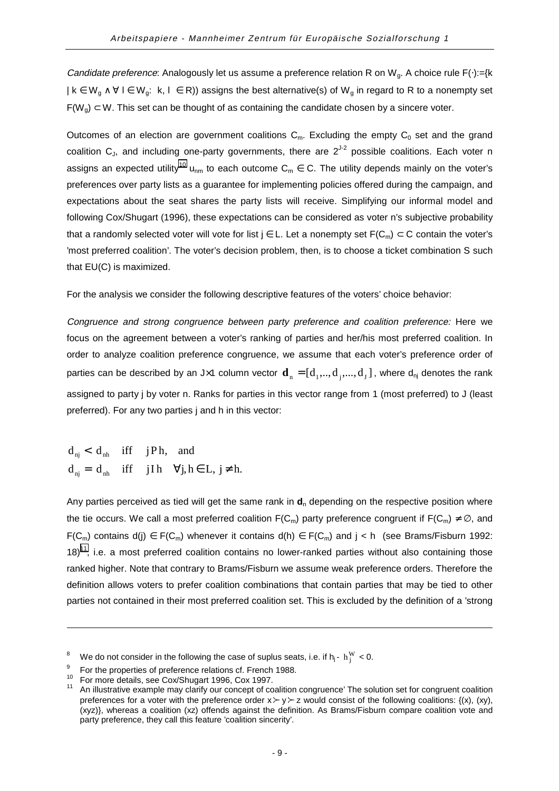Candidate preference: Analogously let us assume a preference relation R on W<sub>q</sub>. A choice rule F(⋅):={k  $| k \in W_g \land \forall l \in W_g$ :  $\langle k, l \rangle \in R$ ) assigns the best alternative(s) of  $W_g$  in regard to R to a nonempty set  $F(W_q) \subset W$ . This set can be thought of as containing the candidate chosen by a sincere voter.

Outcomes of an election are government coalitions  $C_m$ . Excluding the empty  $C_0$  set and the grand coalition  $C_J$ , and including one-party governments, there are  $2^{J-2}$  possible coalitions. Each voter n assigns an expected utility<sup>10</sup> u<sub>nm</sub> to each outcome C<sub>m</sub>  $\in$  C. The utility depends mainly on the voter's preferences over party lists as a guarantee for implementing policies offered during the campaign, and expectations about the seat shares the party lists will receive. Simplifying our informal model and following Cox/Shugart (1996), these expectations can be considered as voter n's subjective probability that a randomly selected voter will vote for list  $j \in L$ . Let a nonempty set  $F(C_m) \subset C$  contain the voter's 'most preferred coalition'. The voter's decision problem, then, is to choose a ticket combination S such that EU(C) is maximized.

For the analysis we consider the following descriptive features of the voters' choice behavior:

Congruence and strong congruence between party preference and coalition preference: Here we focus on the agreement between a voter's ranking of parties and her/his most preferred coalition. In order to analyze coalition preference congruence, we assume that each voter's preference order of parties can be described by an J×1 column vector  $\mathbf{d}_n = [d_1, ..., d_j, ..., d_J]$ , where  $d_{nj}$  denotes the rank assigned to party j by voter n. Ranks for parties in this vector range from 1 (most preferred) to J (least preferred). For any two parties j and h in this vector:

 $d_{nj} = d_{nh}$  iff jIh  $\forall j, h \in L, j \neq h$ .  $d_{nj} < d_{nh}$  iff jPh, and

Any parties perceived as tied will get the same rank in  $d_n$  depending on the respective position where the tie occurs. We call a most preferred coalition  $F(C_m)$  party preference congruent if  $F(C_m) \neq \emptyset$ , and F(C<sub>m</sub>) contains d(j) ∈ F(C<sub>m</sub>) whenever it contains d(h) ∈ F(C<sub>m</sub>) and j < h (see Brams/Fisburn 1992:  $18$ <sup>11</sup>, i.e. a most preferred coalition contains no lower-ranked parties without also containing those ranked higher. Note that contrary to Brams/Fisburn we assume weak preference orders. Therefore the definition allows voters to prefer coalition combinations that contain parties that may be tied to other parties not contained in their most preferred coalition set. This is excluded by the definition of a 'strong

<sup>&</sup>lt;sup>8</sup> We do not consider in the following the case of suplus seats, i.e. if h<sub>j</sub>- h<sub>j</sub><sup>W</sup> < 0.

<sup>&</sup>lt;sup>9</sup> For the properties of preference relations cf. French 1988.<br><sup>10</sup> For more details, see Cox/Shugart 1996, Cox 1997.<br><sup>11</sup> An illustrative example may clarify our concept of coalition congruence' The solution set for cong preferences for a voter with the preference order  $x \succ y \succ z$  would consist of the following coalitions: {(x), (xy), (xyz)}, whereas a coalition (xz) offends against the definition. As Brams/Fisburn compare coalition vote and party preference, they call this feature 'coalition sincerity'.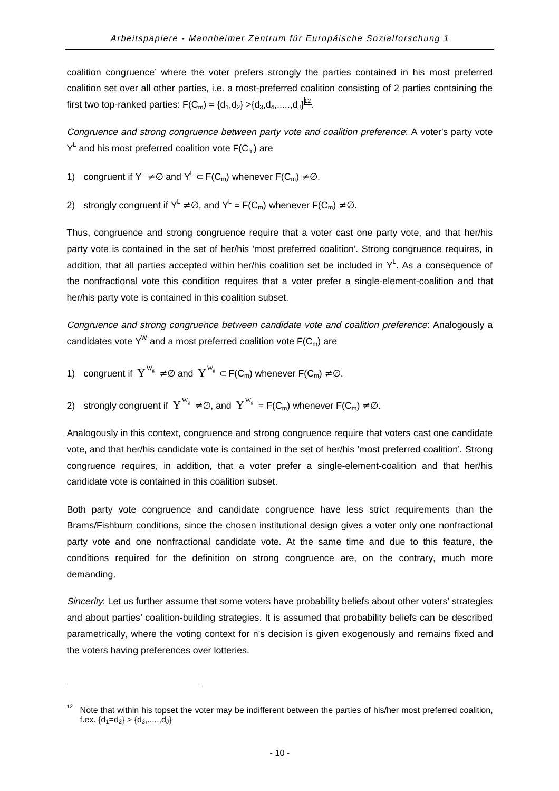coalition congruence' where the voter prefers strongly the parties contained in his most preferred coalition set over all other parties, i.e. a most-preferred coalition consisting of 2 parties containing the first two top-ranked parties:  $F(C_m) = {d_1, d_2} > {d_3, d_4,....., d_J}^{12}.$ 

Congruence and strong congruence between party vote and coalition preference: A voter's party vote  $\mathsf{Y}^{\mathsf{L}}$  and his most preferred coalition vote  $\mathsf{F}(\mathsf{C}_{\mathsf{m}})$  are

- 1) congruent if  $Y^L \neq \emptyset$  and  $Y^L \subset F(C_m)$  whenever  $F(C_m) \neq \emptyset$ .
- 2) strongly congruent if  $Y^{\mathsf{L}} \neq \emptyset$ , and  $Y^{\mathsf{L}} = \mathsf{F}(\mathsf{C}_{\mathsf{m}})$  whenever  $\mathsf{F}(\mathsf{C}_{\mathsf{m}}) \neq \emptyset$ .

Thus, congruence and strong congruence require that a voter cast one party vote, and that her/his party vote is contained in the set of her/his 'most preferred coalition'. Strong congruence requires, in addition, that all parties accepted within her/his coalition set be included in  $Y^L$ . As a consequence of the nonfractional vote this condition requires that a voter prefer a single-element-coalition and that her/his party vote is contained in this coalition subset.

Congruence and strong congruence between candidate vote and coalition preference: Analogously a candidates vote Y<sup>W</sup> and a most preferred coalition vote  $F(C_m)$  are

1) congruent if  $Y^{W_g} \neq \emptyset$  and  $Y^{W_g} \subset F(C_m)$  whenever  $F(C_m) \neq \emptyset$ .

l

2) strongly congruent if  $Y^{W_g} \neq \emptyset$ , and  $Y^{W_g} = F(C_m)$  whenever  $F(C_m) \neq \emptyset$ .

Analogously in this context, congruence and strong congruence require that voters cast one candidate vote, and that her/his candidate vote is contained in the set of her/his 'most preferred coalition'. Strong congruence requires, in addition, that a voter prefer a single-element-coalition and that her/his candidate vote is contained in this coalition subset.

Both party vote congruence and candidate congruence have less strict requirements than the Brams/Fishburn conditions, since the chosen institutional design gives a voter only one nonfractional party vote and one nonfractional candidate vote. At the same time and due to this feature, the conditions required for the definition on strong congruence are, on the contrary, much more demanding.

Sincerity: Let us further assume that some voters have probability beliefs about other voters' strategies and about parties' coalition-building strategies. It is assumed that probability beliefs can be described parametrically, where the voting context for n's decision is given exogenously and remains fixed and the voters having preferences over lotteries.

Note that within his topset the voter may be indifferent between the parties of his/her most preferred coalition, f.ex.  $\{d_1=d_2\} > \{d_3, \ldots, d_J\}$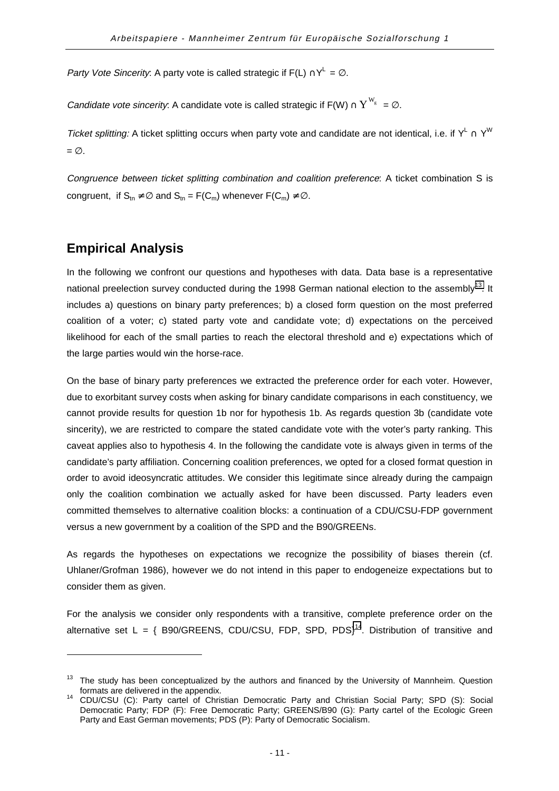<span id="page-15-0"></span>Party Vote Sincerity: A party vote is called strategic if F(L)  $\bigcap^{\mathsf{L}} = \emptyset$ .

*Candidate vote sincerity*: A candidate vote is called strategic if F(W)  $\cap$   $Y^{\mathrm{W_g}}$  =  $\varnothing$ .

Ticket splitting: A ticket splitting occurs when party vote and candidate are not identical, i.e. if Y<sup>L</sup> ∩ Y<sup>W</sup>  $= \emptyset$ .

Congruence between ticket splitting combination and coalition preference: A ticket combination S is congruent, if  $S_{tn} \neq \emptyset$  and  $S_{tn} = F(C_m)$  whenever  $F(C_m) \neq \emptyset$ .

## **Empirical Analysis**

l

In the following we confront our questions and hypotheses with data. Data base is a representative national preelection survey conducted during the 1998 German national election to the assembly<sup>13</sup>. It includes a) questions on binary party preferences; b) a closed form question on the most preferred coalition of a voter; c) stated party vote and candidate vote; d) expectations on the perceived likelihood for each of the small parties to reach the electoral threshold and e) expectations which of the large parties would win the horse-race.

On the base of binary party preferences we extracted the preference order for each voter. However, due to exorbitant survey costs when asking for binary candidate comparisons in each constituency, we cannot provide results for question 1b nor for hypothesis 1b. As regards question 3b (candidate vote sincerity), we are restricted to compare the stated candidate vote with the voter's party ranking. This caveat applies also to hypothesis 4. In the following the candidate vote is always given in terms of the candidate's party affiliation. Concerning coalition preferences, we opted for a closed format question in order to avoid ideosyncratic attitudes. We consider this legitimate since already during the campaign only the coalition combination we actually asked for have been discussed. Party leaders even committed themselves to alternative coalition blocks: a continuation of a CDU/CSU-FDP government versus a new government by a coalition of the SPD and the B90/GREENs.

As regards the hypotheses on expectations we recognize the possibility of biases therein (cf. Uhlaner/Grofman 1986), however we do not intend in this paper to endogeneize expectations but to consider them as given.

For the analysis we consider only respondents with a transitive, complete preference order on the alternative set L = { B90/GREENS, CDU/CSU, FDP, SPD, PDS}<sup>14</sup>. Distribution of transitive and

The study has been conceptualized by the authors and financed by the University of Mannheim. Question

formats are delivered in the appendix. 14 CDU/CSU (C): Party cartel of Christian Democratic Party and Christian Social Party; SPD (S): Social Democratic Party; FDP (F): Free Democratic Party; GREENS/B90 (G): Party cartel of the Ecologic Green Party and East German movements; PDS (P): Party of Democratic Socialism.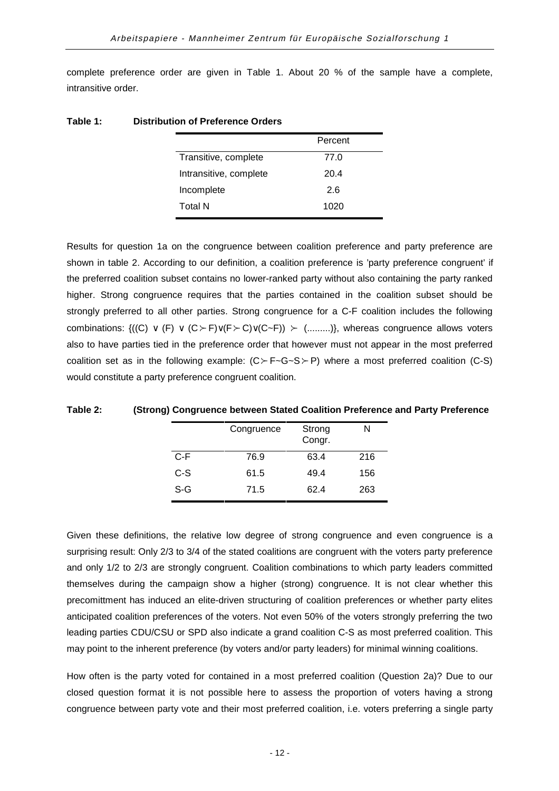complete preference order are given in Table 1. About 20 % of the sample have a complete, intransitive order.

|                        | Percent |
|------------------------|---------|
| Transitive, complete   | 77.0    |
| Intransitive, complete | 20.4    |
| Incomplete             | 2.6     |
| Total N                | 1020    |
|                        |         |

#### **Table 1: Distribution of Preference Orders**

Results for question 1a on the congruence between coalition preference and party preference are shown in table 2. According to our definition, a coalition preference is 'party preference congruent' if the preferred coalition subset contains no lower-ranked party without also containing the party ranked higher. Strong congruence requires that the parties contained in the coalition subset should be strongly preferred to all other parties. Strong congruence for a C-F coalition includes the following combinations:  $\{((C) \vee (F) \vee (C \succ F) \vee (F \succ C) \vee (C \sim F)) \succ$  (.........)}, whereas congruence allows voters also to have parties tied in the preference order that however must not appear in the most preferred coalition set as in the following example:  $(C \rightarrow F\rightarrow G\rightarrow S \rightarrow P)$  where a most preferred coalition (C-S) would constitute a party preference congruent coalition.

|       | Congruence | Strong<br>Congr. | N   |
|-------|------------|------------------|-----|
| $C-F$ | 76.9       | 63.4             | 216 |
| C-S   | 61.5       | 49.4             | 156 |
| S-G   | 71.5       | 62.4             | 263 |

#### **Table 2: (Strong) Congruence between Stated Coalition Preference and Party Preference**

Given these definitions, the relative low degree of strong congruence and even congruence is a surprising result: Only 2/3 to 3/4 of the stated coalitions are congruent with the voters party preference and only 1/2 to 2/3 are strongly congruent. Coalition combinations to which party leaders committed themselves during the campaign show a higher (strong) congruence. It is not clear whether this precomittment has induced an elite-driven structuring of coalition preferences or whether party elites anticipated coalition preferences of the voters. Not even 50% of the voters strongly preferring the two leading parties CDU/CSU or SPD also indicate a grand coalition C-S as most preferred coalition. This may point to the inherent preference (by voters and/or party leaders) for minimal winning coalitions.

How often is the party voted for contained in a most preferred coalition (Question 2a)? Due to our closed question format it is not possible here to assess the proportion of voters having a strong congruence between party vote and their most preferred coalition, i.e. voters preferring a single party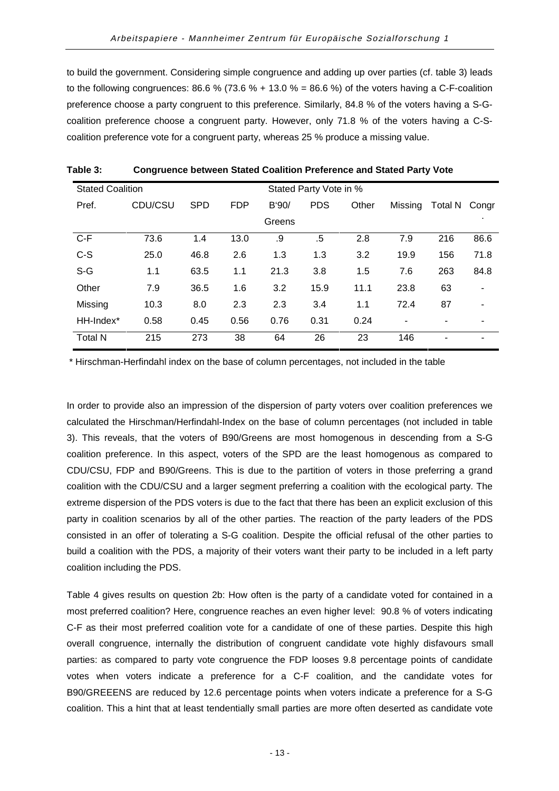to build the government. Considering simple congruence and adding up over parties (cf. table 3) leads to the following congruences:  $86.6\%$  (73.6 % + 13.0 % =  $86.6\%$ ) of the voters having a C-F-coalition preference choose a party congruent to this preference. Similarly, 84.8 % of the voters having a S-Gcoalition preference choose a congruent party. However, only 71.8 % of the voters having a C-Scoalition preference vote for a congruent party, whereas 25 % produce a missing value.

| <b>Stated Coalition</b> | Stated Party Vote in % |            |            |        |            |       |                          |         |       |
|-------------------------|------------------------|------------|------------|--------|------------|-------|--------------------------|---------|-------|
| Pref.                   | CDU/CSU                | <b>SPD</b> | <b>FDP</b> | B'90/  | <b>PDS</b> | Other | Missing                  | Total N | Congr |
|                         |                        |            |            | Greens |            |       |                          |         |       |
| $C-F$                   | 73.6                   | 1.4        | 13.0       | .9     | .5         | 2.8   | 7.9                      | 216     | 86.6  |
| $C-S$                   | 25.0                   | 46.8       | 2.6        | 1.3    | 1.3        | 3.2   | 19.9                     | 156     | 71.8  |
| $S-G$                   | 1.1                    | 63.5       | 1.1        | 21.3   | 3.8        | 1.5   | 7.6                      | 263     | 84.8  |
| Other                   | 7.9                    | 36.5       | 1.6        | 3.2    | 15.9       | 11.1  | 23.8                     | 63      | ۰     |
| Missing                 | 10.3                   | 8.0        | 2.3        | 2.3    | 3.4        | 1.1   | 72.4                     | 87      | ۰     |
| HH-Index*               | 0.58                   | 0.45       | 0.56       | 0.76   | 0.31       | 0.24  | $\overline{\phantom{a}}$ |         |       |
| <b>Total N</b>          | 215                    | 273        | 38         | 64     | 26         | 23    | 146                      | ٠       |       |

| Table 3: | <b>Congruence between Stated Coalition Preference and Stated Party Vote</b> |
|----------|-----------------------------------------------------------------------------|
|----------|-----------------------------------------------------------------------------|

\* Hirschman-Herfindahl index on the base of column percentages, not included in the table

In order to provide also an impression of the dispersion of party voters over coalition preferences we calculated the Hirschman/Herfindahl-Index on the base of column percentages (not included in table 3). This reveals, that the voters of B90/Greens are most homogenous in descending from a S-G coalition preference. In this aspect, voters of the SPD are the least homogenous as compared to CDU/CSU, FDP and B90/Greens. This is due to the partition of voters in those preferring a grand coalition with the CDU/CSU and a larger segment preferring a coalition with the ecological party. The extreme dispersion of the PDS voters is due to the fact that there has been an explicit exclusion of this party in coalition scenarios by all of the other parties. The reaction of the party leaders of the PDS consisted in an offer of tolerating a S-G coalition. Despite the official refusal of the other parties to build a coalition with the PDS, a majority of their voters want their party to be included in a left party coalition including the PDS.

Table 4 gives results on question 2b: How often is the party of a candidate voted for contained in a most preferred coalition? Here, congruence reaches an even higher level: 90.8 % of voters indicating C-F as their most preferred coalition vote for a candidate of one of these parties. Despite this high overall congruence, internally the distribution of congruent candidate vote highly disfavours small parties: as compared to party vote congruence the FDP looses 9.8 percentage points of candidate votes when voters indicate a preference for a C-F coalition, and the candidate votes for B90/GREEENS are reduced by 12.6 percentage points when voters indicate a preference for a S-G coalition. This a hint that at least tendentially small parties are more often deserted as candidate vote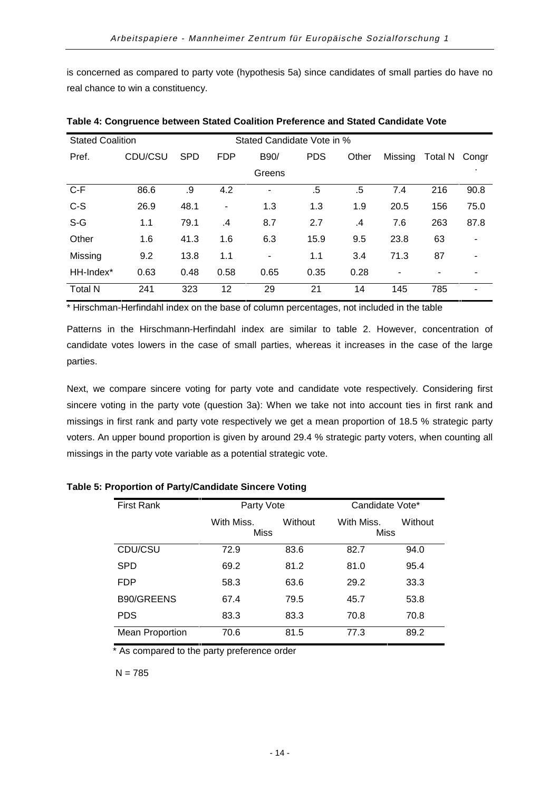is concerned as compared to party vote (hypothesis 5a) since candidates of small parties do have no real chance to win a constituency.

| <b>Stated Coalition</b> |         |            | Stated Candidate Vote in % |                |            |       |         |         |                              |
|-------------------------|---------|------------|----------------------------|----------------|------------|-------|---------|---------|------------------------------|
| Pref.                   | CDU/CSU | <b>SPD</b> | <b>FDP</b>                 | B90/           | <b>PDS</b> | Other | Missing | Total N | Congr                        |
|                         |         |            |                            | Greens         |            |       |         |         |                              |
| $C-F$                   | 86.6    | .9         | 4.2                        |                | .5         | .5    | 7.4     | 216     | 90.8                         |
| $C-S$                   | 26.9    | 48.1       | ۰                          | 1.3            | 1.3        | 1.9   | 20.5    | 156     | 75.0                         |
| $S-G$                   | 1.1     | 79.1       | .4                         | 8.7            | 2.7        | .4    | 7.6     | 263     | 87.8                         |
| Other                   | 1.6     | 41.3       | 1.6                        | 6.3            | 15.9       | 9.5   | 23.8    | 63      | $\qquad \qquad \blacksquare$ |
| Missing                 | 9.2     | 13.8       | 1.1                        | $\blacksquare$ | 1.1        | 3.4   | 71.3    | 87      | ۰                            |
| HH-Index*               | 0.63    | 0.48       | 0.58                       | 0.65           | 0.35       | 0.28  | ٠       |         |                              |
| <b>Total N</b>          | 241     | 323        | 12                         | 29             | 21         | 14    | 145     | 785     |                              |

**Table 4: Congruence between Stated Coalition Preference and Stated Candidate Vote**

\* Hirschman-Herfindahl index on the base of column percentages, not included in the table

Patterns in the Hirschmann-Herfindahl index are similar to table 2. However, concentration of candidate votes lowers in the case of small parties, whereas it increases in the case of the large parties.

Next, we compare sincere voting for party vote and candidate vote respectively. Considering first sincere voting in the party vote (question 3a): When we take not into account ties in first rank and missings in first rank and party vote respectively we get a mean proportion of 18.5 % strategic party voters. An upper bound proportion is given by around 29.4 % strategic party voters, when counting all missings in the party vote variable as a potential strategic vote.

| <b>First Rank</b>      | Party Vote  |         | Candidate Vote* |         |
|------------------------|-------------|---------|-----------------|---------|
|                        | With Miss.  | Without | With Miss.      | Without |
|                        | <b>Miss</b> |         | Miss            |         |
| CDU/CSU                | 72.9        | 83.6    | 82.7            | 94.0    |
| <b>SPD</b>             | 69.2        | 81.2    | 81.0            | 95.4    |
| <b>FDP</b>             | 58.3        | 63.6    | 29.2            | 33.3    |
| B90/GREENS             | 67.4        | 79.5    | 45.7            | 53.8    |
| <b>PDS</b>             | 83.3        | 83.3    | 70.8            | 70.8    |
| <b>Mean Proportion</b> | 70.6        | 81.5    | 77.3            | 89.2    |

**Table 5: Proportion of Party/Candidate Sincere Voting**

\* As compared to the party preference order

 $N = 785$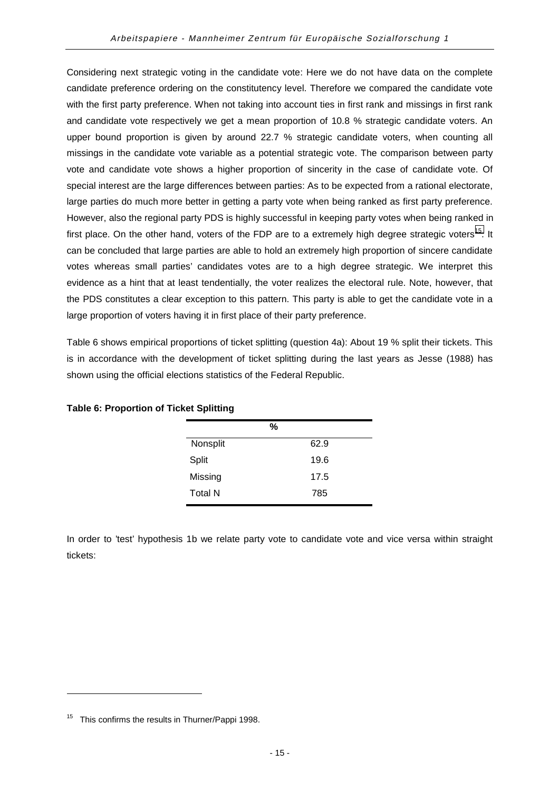Considering next strategic voting in the candidate vote: Here we do not have data on the complete candidate preference ordering on the constitutency level. Therefore we compared the candidate vote with the first party preference. When not taking into account ties in first rank and missings in first rank and candidate vote respectively we get a mean proportion of 10.8 % strategic candidate voters. An upper bound proportion is given by around 22.7 % strategic candidate voters, when counting all missings in the candidate vote variable as a potential strategic vote. The comparison between party vote and candidate vote shows a higher proportion of sincerity in the case of candidate vote. Of special interest are the large differences between parties: As to be expected from a rational electorate, large parties do much more better in getting a party vote when being ranked as first party preference. However, also the regional party PDS is highly successful in keeping party votes when being ranked in first place. On the other hand, voters of the FDP are to a extremely high degree strategic voters<sup>15</sup>. It can be concluded that large parties are able to hold an extremely high proportion of sincere candidate votes whereas small parties' candidates votes are to a high degree strategic. We interpret this evidence as a hint that at least tendentially, the voter realizes the electoral rule. Note, however, that the PDS constitutes a clear exception to this pattern. This party is able to get the candidate vote in a large proportion of voters having it in first place of their party preference.

Table 6 shows empirical proportions of ticket splitting (question 4a): About 19 % split their tickets. This is in accordance with the development of ticket splitting during the last years as Jesse (1988) has shown using the official elections statistics of the Federal Republic.

|                | %    |
|----------------|------|
| Nonsplit       | 62.9 |
| Split          | 19.6 |
| Missing        | 17.5 |
| <b>Total N</b> | 785  |

#### **Table 6: Proportion of Ticket Splitting**

In order to 'test' hypothesis 1b we relate party vote to candidate vote and vice versa within straight tickets:

 $\overline{a}$ 

<sup>&</sup>lt;sup>15</sup> This confirms the results in Thurner/Pappi 1998.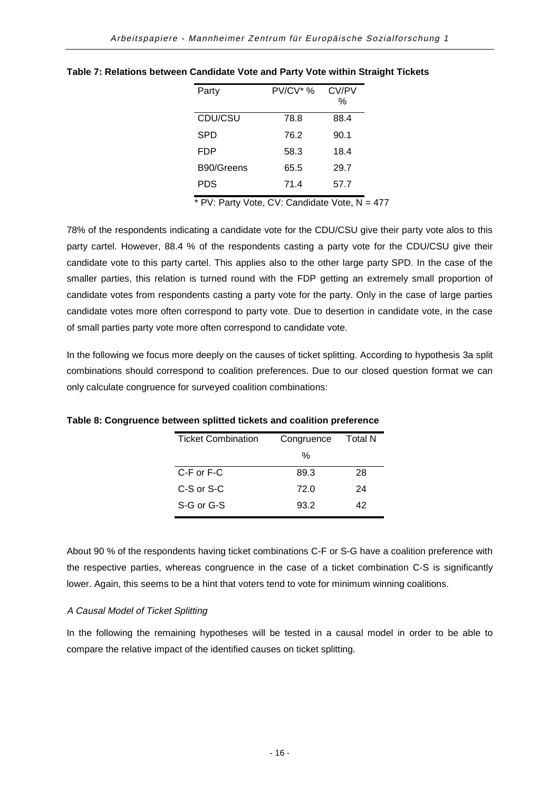| Party      | $PV/CV^*$ % | CV/PV<br>% |
|------------|-------------|------------|
| CDU/CSU    | 78.8        | 88.4       |
| SPD        | 76.2        | 90.1       |
| FDP        | 58.3        | 18.4       |
| B90/Greens | 65.5        | 29.7       |
| <b>PDS</b> | 71.4        | 57.7       |

**Table 7: Relations between Candidate Vote and Party Vote within Straight Tickets**

 $*$  PV: Party Vote, CV: Candidate Vote, N = 477

78% of the respondents indicating a candidate vote for the CDU/CSU give their party vote alos to this party cartel. However, 88.4 % of the respondents casting a party vote for the CDU/CSU give their candidate vote to this party cartel. This applies also to the other large party SPD. In the case of the smaller parties, this relation is turned round with the FDP getting an extremely small proportion of candidate votes from respondents casting a party vote for the party. Only in the case of large parties candidate votes more often correspond to party vote. Due to desertion in candidate vote, in the case of small parties party vote more often correspond to candidate vote.

In the following we focus more deeply on the causes of ticket splitting. According to hypothesis 3a split combinations should correspond to coalition preferences. Due to our closed question format we can only calculate congruence for surveyed coalition combinations:

| <b>Ticket Combination</b> | Congruence | <b>Total N</b> |
|---------------------------|------------|----------------|
|                           | %          |                |
| C-F or F-C                | 89.3       | 28             |
| $C-S$ or $S-C$            | 72.0       | 24             |
| S-G or G-S                | 93.2       | 42             |
|                           |            |                |

**Table 8: Congruence between splitted tickets and coalition preference**

About 90 % of the respondents having ticket combinations C-F or S-G have a coalition preference with the respective parties, whereas congruence in the case of a ticket combination C-S is significantly lower. Again, this seems to be a hint that voters tend to vote for minimum winning coalitions.

#### A Causal Model of Ticket Splitting

In the following the remaining hypotheses will be tested in a causal model in order to be able to compare the relative impact of the identified causes on ticket splitting.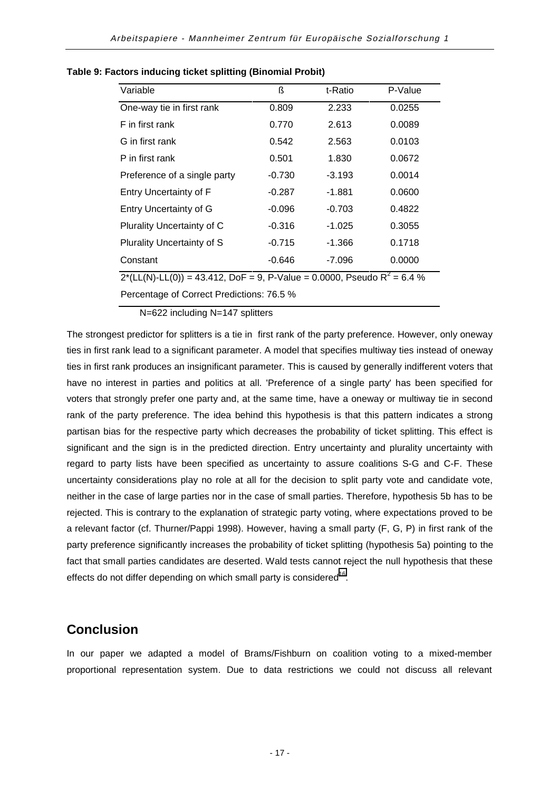| Variable                                                                               | ß        | t-Ratio  | P-Value |  |  |
|----------------------------------------------------------------------------------------|----------|----------|---------|--|--|
| One-way tie in first rank                                                              | 0.809    | 2.233    | 0.0255  |  |  |
| F in first rank                                                                        | 0.770    | 2.613    | 0.0089  |  |  |
| G in first rank                                                                        | 0.542    | 2.563    | 0.0103  |  |  |
| P in first rank                                                                        | 0.501    | 1.830    | 0.0672  |  |  |
| Preference of a single party                                                           | $-0.730$ | $-3.193$ | 0.0014  |  |  |
| Entry Uncertainty of F                                                                 | $-0.287$ | $-1.881$ | 0.0600  |  |  |
| <b>Entry Uncertainty of G</b>                                                          | $-0.096$ | $-0.703$ | 0.4822  |  |  |
| Plurality Uncertainty of C                                                             | $-0.316$ | $-1.025$ | 0.3055  |  |  |
| Plurality Uncertainty of S                                                             | $-0.715$ | $-1.366$ | 0.1718  |  |  |
| Constant                                                                               | $-0.646$ | $-7.096$ | 0.0000  |  |  |
| $2^*(LL(N)-LL(0)) = 43.412$ , DoF = 9, P-Value = 0.0000, Pseudo R <sup>2</sup> = 6.4 % |          |          |         |  |  |
|                                                                                        |          |          |         |  |  |

#### <span id="page-21-0"></span>**Table 9: Factors inducing ticket splitting (Binomial Probit)**

Percentage of Correct Predictions: 76.5 %

N=622 including N=147 splitters

The strongest predictor for splitters is a tie in first rank of the party preference. However, only oneway ties in first rank lead to a significant parameter. A model that specifies multiway ties instead of oneway ties in first rank produces an insignificant parameter. This is caused by generally indifferent voters that have no interest in parties and politics at all. 'Preference of a single party' has been specified for voters that strongly prefer one party and, at the same time, have a oneway or multiway tie in second rank of the party preference. The idea behind this hypothesis is that this pattern indicates a strong partisan bias for the respective party which decreases the probability of ticket splitting. This effect is significant and the sign is in the predicted direction. Entry uncertainty and plurality uncertainty with regard to party lists have been specified as uncertainty to assure coalitions S-G and C-F. These uncertainty considerations play no role at all for the decision to split party vote and candidate vote, neither in the case of large parties nor in the case of small parties. Therefore, hypothesis 5b has to be rejected. This is contrary to the explanation of strategic party voting, where expectations proved to be a relevant factor (cf. Thurner/Pappi 1998). However, having a small party (F, G, P) in first rank of the party preference significantly increases the probability of ticket splitting (hypothesis 5a) pointing to the fact that small parties candidates are deserted. Wald tests cannot reject the null hypothesis that these effects do not differ depending on which small party is considered<sup>16</sup>.

## **Conclusion**

In our paper we adapted a model of Brams/Fishburn on coalition voting to a mixed-member proportional representation system. Due to data restrictions we could not discuss all relevant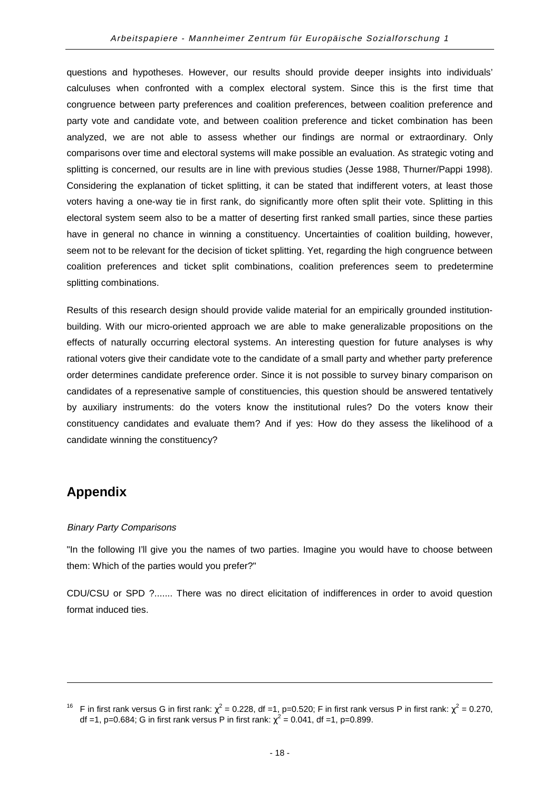<span id="page-22-0"></span>questions and hypotheses. However, our results should provide deeper insights into individuals' calculuses when confronted with a complex electoral system. Since this is the first time that congruence between party preferences and coalition preferences, between coalition preference and party vote and candidate vote, and between coalition preference and ticket combination has been analyzed, we are not able to assess whether our findings are normal or extraordinary. Only comparisons over time and electoral systems will make possible an evaluation. As strategic voting and splitting is concerned, our results are in line with previous studies (Jesse 1988, Thurner/Pappi 1998). Considering the explanation of ticket splitting, it can be stated that indifferent voters, at least those voters having a one-way tie in first rank, do significantly more often split their vote. Splitting in this electoral system seem also to be a matter of deserting first ranked small parties, since these parties have in general no chance in winning a constituency. Uncertainties of coalition building, however, seem not to be relevant for the decision of ticket splitting. Yet, regarding the high congruence between coalition preferences and ticket split combinations, coalition preferences seem to predetermine splitting combinations.

Results of this research design should provide valide material for an empirically grounded institutionbuilding. With our micro-oriented approach we are able to make generalizable propositions on the effects of naturally occurring electoral systems. An interesting question for future analyses is why rational voters give their candidate vote to the candidate of a small party and whether party preference order determines candidate preference order. Since it is not possible to survey binary comparison on candidates of a represenative sample of constituencies, this question should be answered tentatively by auxiliary instruments: do the voters know the institutional rules? Do the voters know their constituency candidates and evaluate them? And if yes: How do they assess the likelihood of a candidate winning the constituency?

## **Appendix**

l

#### Binary Party Comparisons

"In the following I'll give you the names of two parties. Imagine you would have to choose between them: Which of the parties would you prefer?"

CDU/CSU or SPD ?....... There was no direct elicitation of indifferences in order to avoid question format induced ties.

<sup>&</sup>lt;sup>16</sup> F in first rank versus G in first rank:  $\chi^2$  = 0.228, df =1, p=0.520; F in first rank versus P in first rank:  $\chi^2$  = 0.270, df =1, p=0.684; G in first rank versus P in first rank:  $\chi^2$  = 0.041, df =1, p=0.899.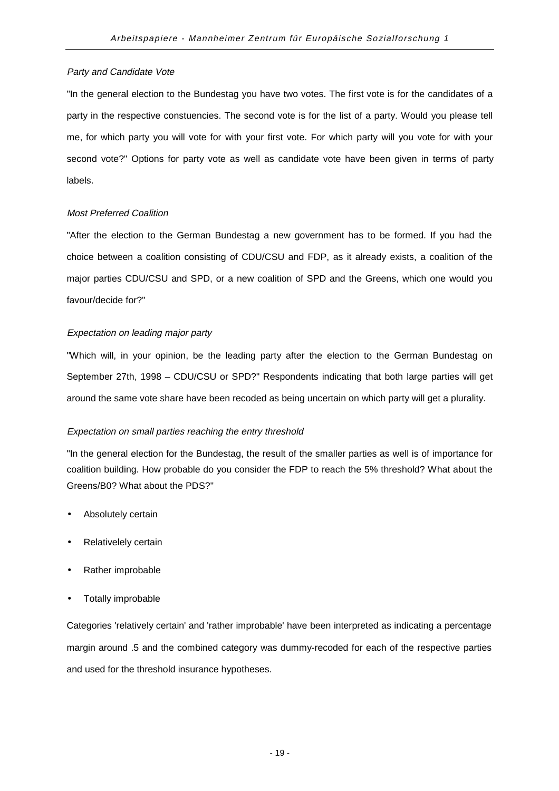#### Party and Candidate Vote

"In the general election to the Bundestag you have two votes. The first vote is for the candidates of a party in the respective constuencies. The second vote is for the list of a party. Would you please tell me, for which party you will vote for with your first vote. For which party will you vote for with your second vote?" Options for party vote as well as candidate vote have been given in terms of party labels.

#### Most Preferred Coalition

"After the election to the German Bundestag a new government has to be formed. If you had the choice between a coalition consisting of CDU/CSU and FDP, as it already exists, a coalition of the major parties CDU/CSU and SPD, or a new coalition of SPD and the Greens, which one would you favour/decide for?"

#### Expectation on leading major party

"Which will, in your opinion, be the leading party after the election to the German Bundestag on September 27th, 1998 – CDU/CSU or SPD?" Respondents indicating that both large parties will get around the same vote share have been recoded as being uncertain on which party will get a plurality.

#### Expectation on small parties reaching the entry threshold

"In the general election for the Bundestag, the result of the smaller parties as well is of importance for coalition building. How probable do you consider the FDP to reach the 5% threshold? What about the Greens/B0? What about the PDS?"

- Absolutely certain
- Relativelely certain
- Rather improbable
- Totally improbable

Categories 'relatively certain' and 'rather improbable' have been interpreted as indicating a percentage margin around .5 and the combined category was dummy-recoded for each of the respective parties and used for the threshold insurance hypotheses.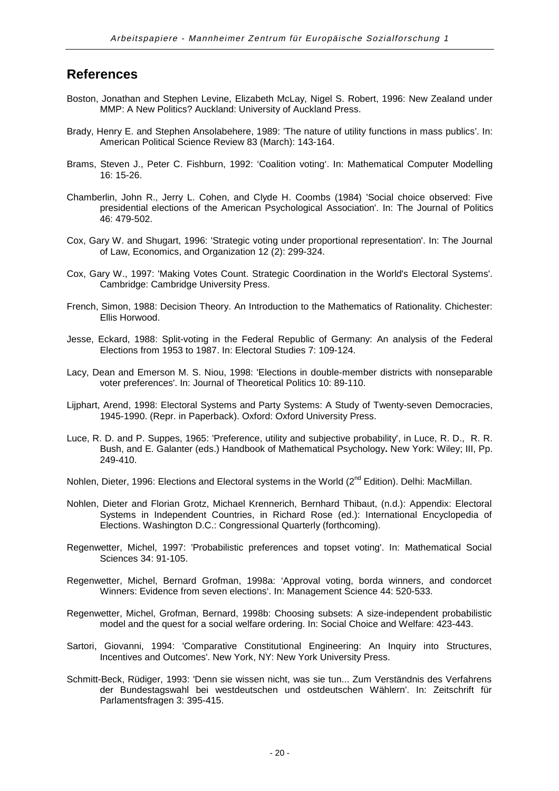## **References**

- Boston, Jonathan and Stephen Levine, Elizabeth McLay, Nigel S. Robert, 1996: New Zealand under MMP: A New Politics? Auckland: University of Auckland Press.
- Brady, Henry E. and Stephen Ansolabehere, 1989: 'The nature of utility functions in mass publics'. In: American Political Science Review 83 (March): 143-164.
- Brams, Steven J., Peter C. Fishburn, 1992: 'Coalition voting'. In: Mathematical Computer Modelling 16: 15-26.
- Chamberlin, John R., Jerry L. Cohen, and Clyde H. Coombs (1984) 'Social choice observed: Five presidential elections of the American Psychological Association'. In: The Journal of Politics 46: 479-502.
- Cox, Gary W. and Shugart, 1996: 'Strategic voting under proportional representation'. In: The Journal of Law, Economics, and Organization 12 (2): 299-324.
- Cox, Gary W., 1997: 'Making Votes Count. Strategic Coordination in the World's Electoral Systems'. Cambridge: Cambridge University Press.
- French, Simon, 1988: Decision Theory. An Introduction to the Mathematics of Rationality. Chichester: Ellis Horwood.
- Jesse, Eckard, 1988: Split-voting in the Federal Republic of Germany: An analysis of the Federal Elections from 1953 to 1987. In: Electoral Studies 7: 109-124.
- Lacy, Dean and Emerson M. S. Niou, 1998: 'Elections in double-member districts with nonseparable voter preferences'. In: Journal of Theoretical Politics 10: 89-110.
- Lijphart, Arend, 1998: Electoral Systems and Party Systems: A Study of Twenty-seven Democracies, 1945-1990. (Repr. in Paperback). Oxford: Oxford University Press.
- Luce, R. D. and P. Suppes, 1965: 'Preference, utility and subjective probability', in Luce, R. D., R. R. Bush, and E. Galanter (eds.) Handbook of Mathematical Psychology**.** New York: Wiley; III, Pp. 249-410.
- Nohlen, Dieter, 1996: Elections and Electoral systems in the World (2<sup>nd</sup> Edition). Delhi: MacMillan.
- Nohlen, Dieter and Florian Grotz, Michael Krennerich, Bernhard Thibaut, (n.d.): Appendix: Electoral Systems in Independent Countries, in Richard Rose (ed.): International Encyclopedia of Elections. Washington D.C.: Congressional Quarterly (forthcoming).
- Regenwetter, Michel, 1997: 'Probabilistic preferences and topset voting'. In: Mathematical Social Sciences 34: 91-105.
- Regenwetter, Michel, Bernard Grofman, 1998a: 'Approval voting, borda winners, and condorcet Winners: Evidence from seven elections'. In: Management Science 44: 520-533.
- Regenwetter, Michel, Grofman, Bernard, 1998b: Choosing subsets: A size-independent probabilistic model and the quest for a social welfare ordering. In: Social Choice and Welfare: 423-443.
- Sartori, Giovanni, 1994: 'Comparative Constitutional Engineering: An Inquiry into Structures, Incentives and Outcomes'. New York, NY: New York University Press.
- Schmitt-Beck, Rüdiger, 1993: 'Denn sie wissen nicht, was sie tun... Zum Verständnis des Verfahrens der Bundestagswahl bei westdeutschen und ostdeutschen Wählern'. In: Zeitschrift für Parlamentsfragen 3: 395-415.